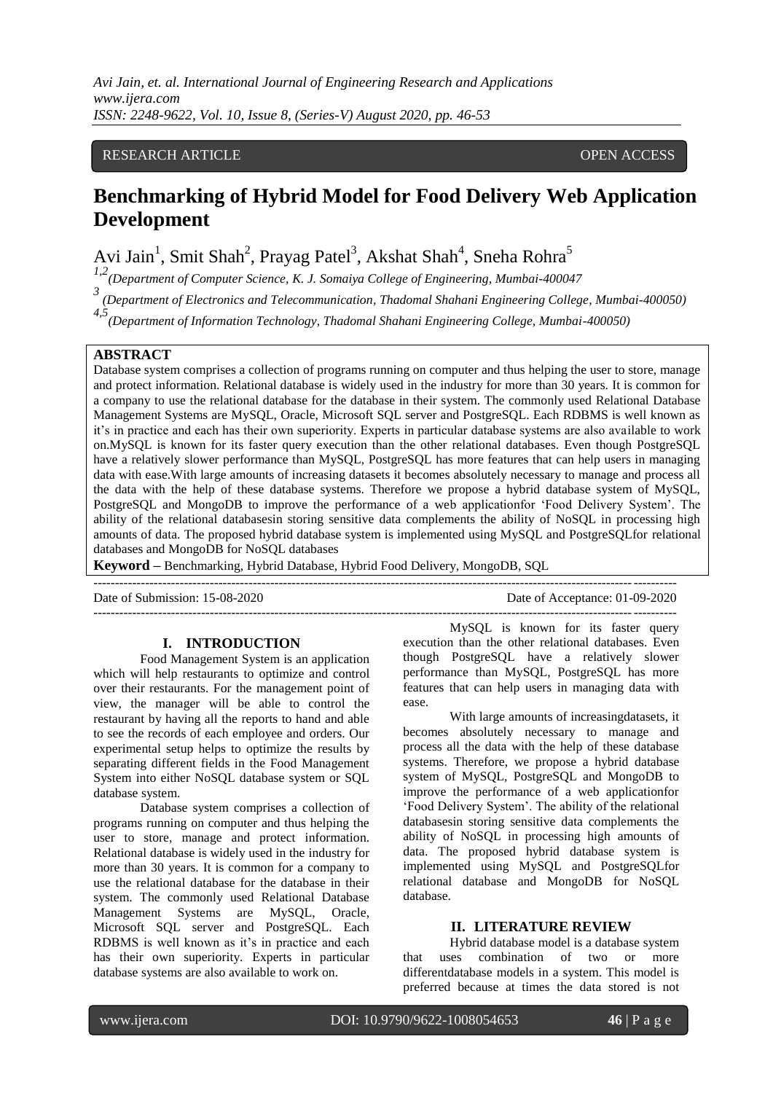### RESEARCH ARTICLE **OPEN ACCESS**

# **Benchmarking of Hybrid Model for Food Delivery Web Application Development**

Avi Jain<sup>1</sup>, Smit Shah<sup>2</sup>, Prayag Patel<sup>3</sup>, Akshat Shah<sup>4</sup>, Sneha Rohra<sup>5</sup>

*1,2(Department of Computer Science, K. J. Somaiya College of Engineering, Mumbai-400047*

*3 (Department of Electronics and Telecommunication, Thadomal Shahani Engineering College, Mumbai-400050)*

*4,5(Department of Information Technology, Thadomal Shahani Engineering College, Mumbai-400050)*

#### **ABSTRACT**

Database system comprises a collection of programs running on computer and thus helping the user to store, manage and protect information. Relational database is widely used in the industry for more than 30 years. It is common for a company to use the relational database for the database in their system. The commonly used Relational Database Management Systems are MySQL, Oracle, Microsoft SQL server and PostgreSQL. Each RDBMS is well known as it"s in practice and each has their own superiority. Experts in particular database systems are also available to work on.MySQL is known for its faster query execution than the other relational databases. Even though PostgreSQL have a relatively slower performance than MySQL, PostgreSQL has more features that can help users in managing data with ease.With large amounts of increasing datasets it becomes absolutely necessary to manage and process all the data with the help of these database systems. Therefore we propose a hybrid database system of MySQL, PostgreSQL and MongoDB to improve the performance of a web applicationfor "Food Delivery System". The ability of the relational databasesin storing sensitive data complements the ability of NoSQL in processing high amounts of data. The proposed hybrid database system is implemented using MySQL and PostgreSQLfor relational databases and MongoDB for NoSQL databases

**Keyword –** Benchmarking, Hybrid Database, Hybrid Food Delivery, MongoDB, SQL

Date of Submission: 15-08-2020 Date of Acceptance: 01-09-2020

---------------------------------------------------------------------------------------------------------------------------------------

### **I. INTRODUCTION**

Food Management System is an application which will help restaurants to optimize and control over their restaurants. For the management point of view, the manager will be able to control the restaurant by having all the reports to hand and able to see the records of each employee and orders. Our experimental setup helps to optimize the results by separating different fields in the Food Management System into either NoSQL database system or SQL database system.

Database system comprises a collection of programs running on computer and thus helping the user to store, manage and protect information. Relational database is widely used in the industry for more than 30 years. It is common for a company to use the relational database for the database in their system. The commonly used Relational Database Management Systems are MySQL, Oracle, Microsoft SQL server and PostgreSQL. Each RDBMS is well known as it's in practice and each has their own superiority. Experts in particular database systems are also available to work on.

MySQL is known for its faster query execution than the other relational databases. Even though PostgreSQL have a relatively slower performance than MySQL, PostgreSQL has more features that can help users in managing data with ease.

---------------------------------------------------------------------------------------------------------------------------------------

With large amounts of increasingdatasets, it becomes absolutely necessary to manage and process all the data with the help of these database systems. Therefore, we propose a hybrid database system of MySQL, PostgreSQL and MongoDB to improve the performance of a web applicationfor "Food Delivery System". The ability of the relational databasesin storing sensitive data complements the ability of NoSQL in processing high amounts of data. The proposed hybrid database system is implemented using MySQL and PostgreSQLfor relational database and MongoDB for NoSQL database.

#### **II. LITERATURE REVIEW**

Hybrid database model is a database system that uses combination of two or more differentdatabase models in a system. This model is preferred because at times the data stored is not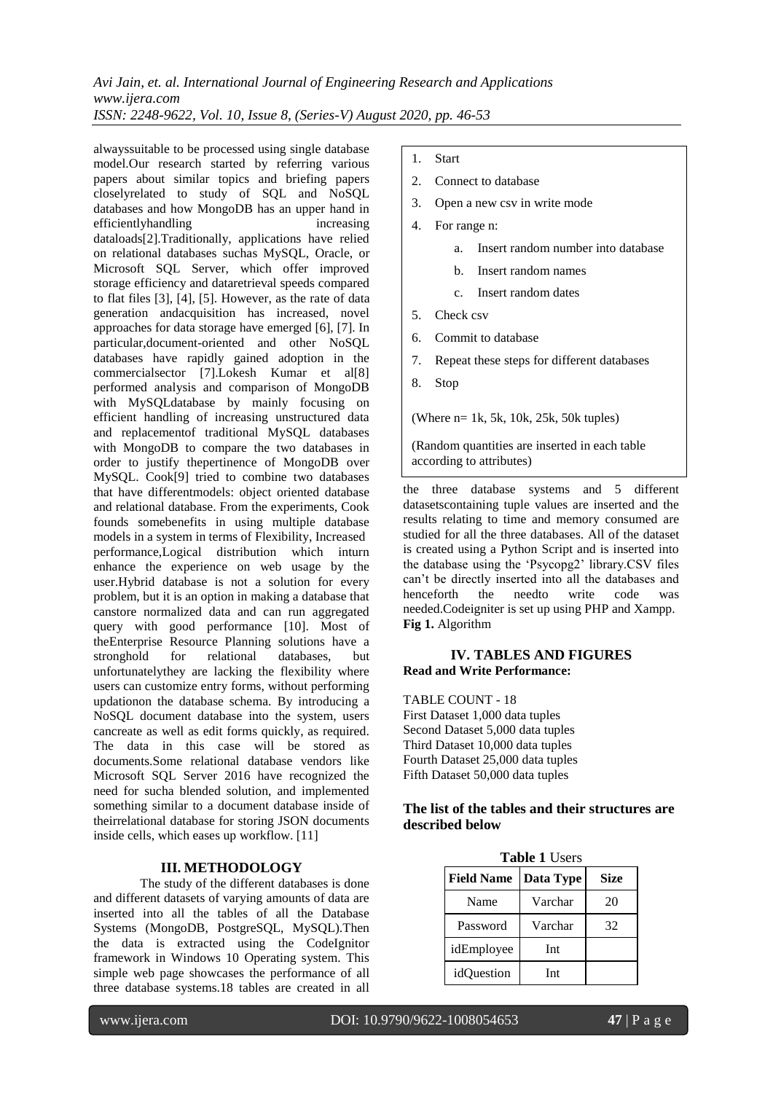alwayssuitable to be processed using single database model.Our research started by referring various papers about similar topics and briefing papers closelyrelated to study of SQL and NoSQL databases and how MongoDB has an upper hand in efficientlyhandling increasing increasing dataloads[2].Traditionally, applications have relied on relational databases suchas MySQL, Oracle, or Microsoft SQL Server, which offer improved storage efficiency and dataretrieval speeds compared to flat files [3], [4], [5]. However, as the rate of data generation andacquisition has increased, novel approaches for data storage have emerged [6], [7]. In particular,document-oriented and other NoSQL databases have rapidly gained adoption in the commercialsector [7].Lokesh Kumar et al[8] performed analysis and comparison of MongoDB with MySQLdatabase by mainly focusing on efficient handling of increasing unstructured data and replacementof traditional MySQL databases with MongoDB to compare the two databases in order to justify thepertinence of MongoDB over MySQL. Cook[9] tried to combine two databases that have differentmodels: object oriented database and relational database. From the experiments, Cook founds somebenefits in using multiple database models in a system in terms of Flexibility, Increased performance,Logical distribution which inturn enhance the experience on web usage by the user.Hybrid database is not a solution for every problem, but it is an option in making a database that canstore normalized data and can run aggregated query with good performance [10]. Most of theEnterprise Resource Planning solutions have a stronghold for relational databases, but unfortunatelythey are lacking the flexibility where users can customize entry forms, without performing updationon the database schema. By introducing a NoSQL document database into the system, users cancreate as well as edit forms quickly, as required. The data in this case will be stored as documents.Some relational database vendors like Microsoft SQL Server 2016 have recognized the need for sucha blended solution, and implemented something similar to a document database inside of theirrelational database for storing JSON documents inside cells, which eases up workflow. [11]

## **III. METHODOLOGY**

The study of the different databases is done and different datasets of varying amounts of data are inserted into all the tables of all the Database Systems (MongoDB, PostgreSQL, MySQL).Then the data is extracted using the CodeIgnitor framework in Windows 10 Operating system. This simple web page showcases the performance of all three database systems.18 tables are created in all

#### 1. Start

- 2. Connect to database
- 3. Open a new csv in write mode
- 4. For range n:
	- a. Insert random number into database
	- b. Insert random names
	- c. Insert random dates
- 5. Check csv
- 6. Commit to database
- 7. Repeat these steps for different databases
- 8. Stop

(Where n= 1k, 5k, 10k, 25k, 50k tuples)

(Random quantities are inserted in each table according to attributes)

the three database systems and 5 different datasetscontaining tuple values are inserted and the results relating to time and memory consumed are studied for all the three databases. All of the dataset is created using a Python Script and is inserted into the database using the "Psycopg2" library.CSV files can"t be directly inserted into all the databases and henceforth the needto write code was needed.Codeigniter is set up using PHP and Xampp. **Fig 1.** Algorithm

#### **IV. TABLES AND FIGURES Read and Write Performance:**

TABLE COUNT - 18 First Dataset 1,000 data tuples Second Dataset 5,000 data tuples Third Dataset 10,000 data tuples Fourth Dataset 25,000 data tuples Fifth Dataset 50,000 data tuples

### **The list of the tables and their structures are described below**

**Table 1** USE

| <b>Table I</b> Users |           |             |
|----------------------|-----------|-------------|
| <b>Field Name</b>    | Data Type | <b>Size</b> |
| Name                 | Varchar   | 20          |
| Password             | Varchar   | 32          |
| idEmployee           | Int       |             |
| idOuestion           | Int       |             |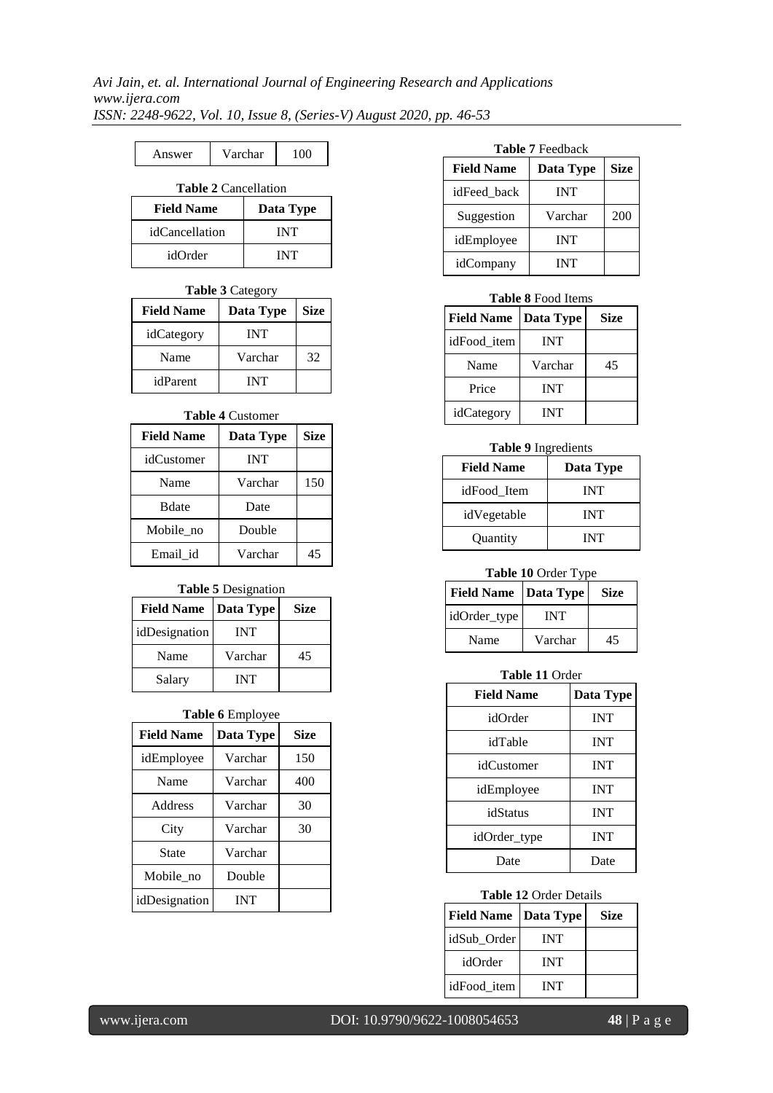# Answer Varchar 100

# **Table 2** Cancellation

| <b>Field Name</b> | Data Type  |
|-------------------|------------|
| idCancellation    | <b>INT</b> |
| idOrder           | <b>INT</b> |

## **Table 3** Category

| <b>Field Name</b> | Data Type  | <b>Size</b> |
|-------------------|------------|-------------|
| idCategory        | <b>INT</b> |             |
| Name              | Varchar    | 32          |
| idParent          | <b>INT</b> |             |

### **Table 4** Customer

| <b>Field Name</b> | Data Type | <b>Size</b> |
|-------------------|-----------|-------------|
| idCustomer        | INT       |             |
| Name              | Varchar   | 150         |
| <b>B</b> date     | Date      |             |
| Mobile no         | Double    |             |
| Email id          | Varchar   | 45          |

## **Table 5** Designation

| <b>Field Name</b> | Data Type  | <b>Size</b> |
|-------------------|------------|-------------|
| idDesignation     | <b>INT</b> |             |
| Name              | Varchar    | 45          |
| Salary            | <b>INT</b> |             |

# **Table 6** Employee

| <b>Field Name</b> | Data Type  | Size |
|-------------------|------------|------|
| idEmployee        | Varchar    | 150  |
| Name              | Varchar    | 400  |
| Address           | Varchar    | 30   |
| City              | Varchar    | 30   |
| State             | Varchar    |      |
| Mobile no         | Double     |      |
| idDesignation     | <b>INT</b> |      |

#### **Table 7** Feedback

| <b>Field Name</b> | Data Type  | <b>Size</b> |
|-------------------|------------|-------------|
| idFeed back       | <b>INT</b> |             |
| Suggestion        | Varchar    | 200         |
| idEmployee        | <b>INT</b> |             |
| idCompany         | <b>INT</b> |             |

### **Table 8** Food Items

| <b>Field Name</b> | Data Type  | <b>Size</b> |
|-------------------|------------|-------------|
| idFood_item       | <b>INT</b> |             |
| Name              | Varchar    | 45          |
| Price             | <b>INT</b> |             |
| idCategory        | <b>INT</b> |             |

#### **Table 9** Ingredients

| <b>Field Name</b> | Data Type  |
|-------------------|------------|
| idFood_Item       | <b>INT</b> |
| idVegetable       | <b>INT</b> |
| Quantity          | <b>INT</b> |

# **Table 10** Order Type

| <b>Field Name</b>   Data Type |         | <b>Size</b> |
|-------------------------------|---------|-------------|
| idOrder_type                  | INT     |             |
| Name                          | Varchar | 45          |

### **Table 11** Order

| <b>Field Name</b> | Data Type  |
|-------------------|------------|
| idOrder           | <b>INT</b> |
| idTable           | <b>INT</b> |
| idCustomer        | <b>INT</b> |
| idEmployee        | <b>INT</b> |
| idStatus          | <b>INT</b> |
| idOrder_type      | <b>INT</b> |
| Date              | Date       |

### **Table 12** Order Details

| <b>Field Name</b> | Data Type  | Size |
|-------------------|------------|------|
| idSub Order       | INT        |      |
| idOrder           | <b>INT</b> |      |
| idFood item       | INT        |      |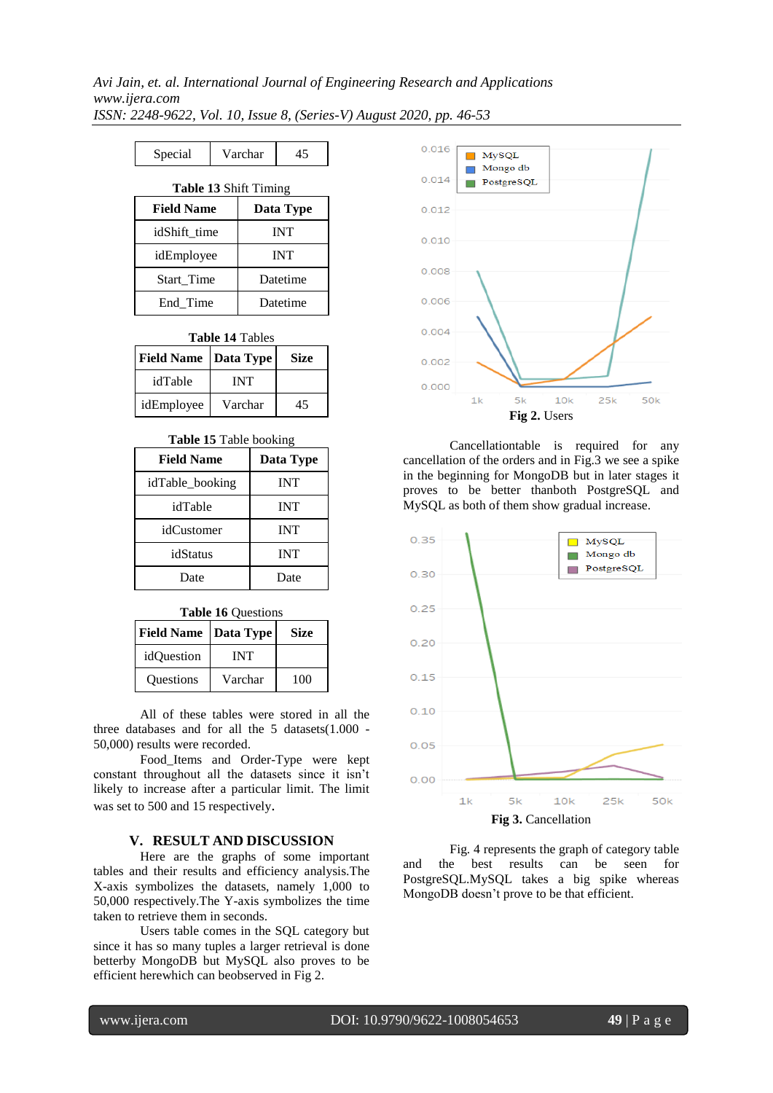| Special | Varchar | 45 |
|---------|---------|----|
|         |         |    |

| <b>Table 13 Shift Timing</b> |            |  |  |
|------------------------------|------------|--|--|
| <b>Field Name</b>            | Data Type  |  |  |
| idShift time                 | <b>INT</b> |  |  |
| idEmployee                   | <b>INT</b> |  |  |
| <b>Start</b> Time            | Datetime   |  |  |
| End Time                     | Datetime   |  |  |

**Table 14** Tables

| <b>Field Name   Data Type</b> |         | Size |
|-------------------------------|---------|------|
| idTable                       | INT     |      |
| idEmployee                    | Varchar | 45   |

#### **Table 15** Table booking

| <b>Field Name</b> | Data Type  |  |
|-------------------|------------|--|
| idTable_booking   | <b>INT</b> |  |
| idTable           | <b>INT</b> |  |
| idCustomer        | <b>INT</b> |  |
| idStatus          | <b>INT</b> |  |
| Date              | Date       |  |

#### **Table 16** Questions

| Field Name | Data Type | Size |
|------------|-----------|------|
| idQuestion | INT       |      |
| Questions  | Varchar   | 100  |

All of these tables were stored in all the three databases and for all the 5 datasets(1.000 - 50,000) results were recorded.

Food\_Items and Order-Type were kept constant throughout all the datasets since it isn"t likely to increase after a particular limit. The limit was set to 500 and 15 respectively.

#### **V. RESULT AND DISCUSSION**

Here are the graphs of some important tables and their results and efficiency analysis.The X-axis symbolizes the datasets, namely 1,000 to 50,000 respectively.The Y-axis symbolizes the time taken to retrieve them in seconds.

Users table comes in the SQL category but since it has so many tuples a larger retrieval is done betterby MongoDB but MySQL also proves to be efficient herewhich can beobserved in Fig 2.



Cancellationtable is required for any cancellation of the orders and in Fig.3 we see a spike in the beginning for MongoDB but in later stages it proves to be better thanboth PostgreSQL and MySQL as both of them show gradual increase.



Fig. 4 represents the graph of category table and the best results can be seen for PostgreSQL.MySQL takes a big spike whereas MongoDB doesn"t prove to be that efficient.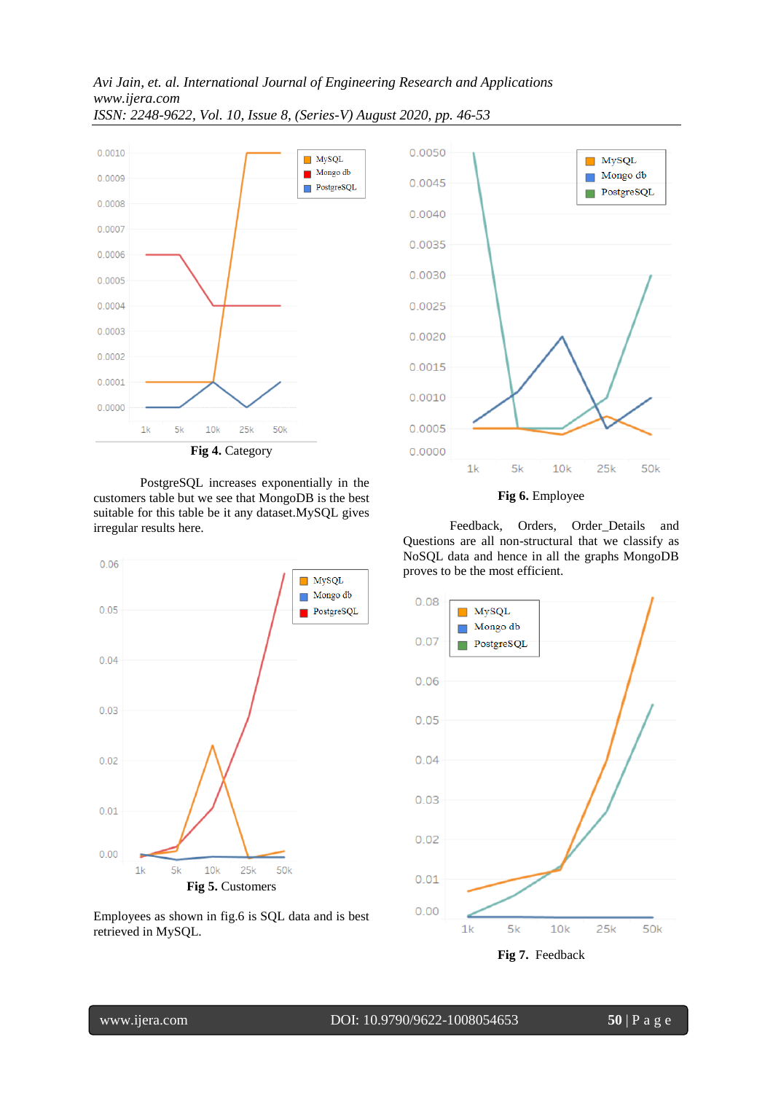

PostgreSQL increases exponentially in the customers table but we see that MongoDB is the best suitable for this table be it any dataset.MySQL gives

irregular results here.



Employees as shown in fig.6 is SQL data and is best retrieved in MySQL.



Feedback, Orders, Order\_Details and Questions are all non-structural that we classify as NoSQL data and hence in all the graphs MongoDB proves to be the most efficient.



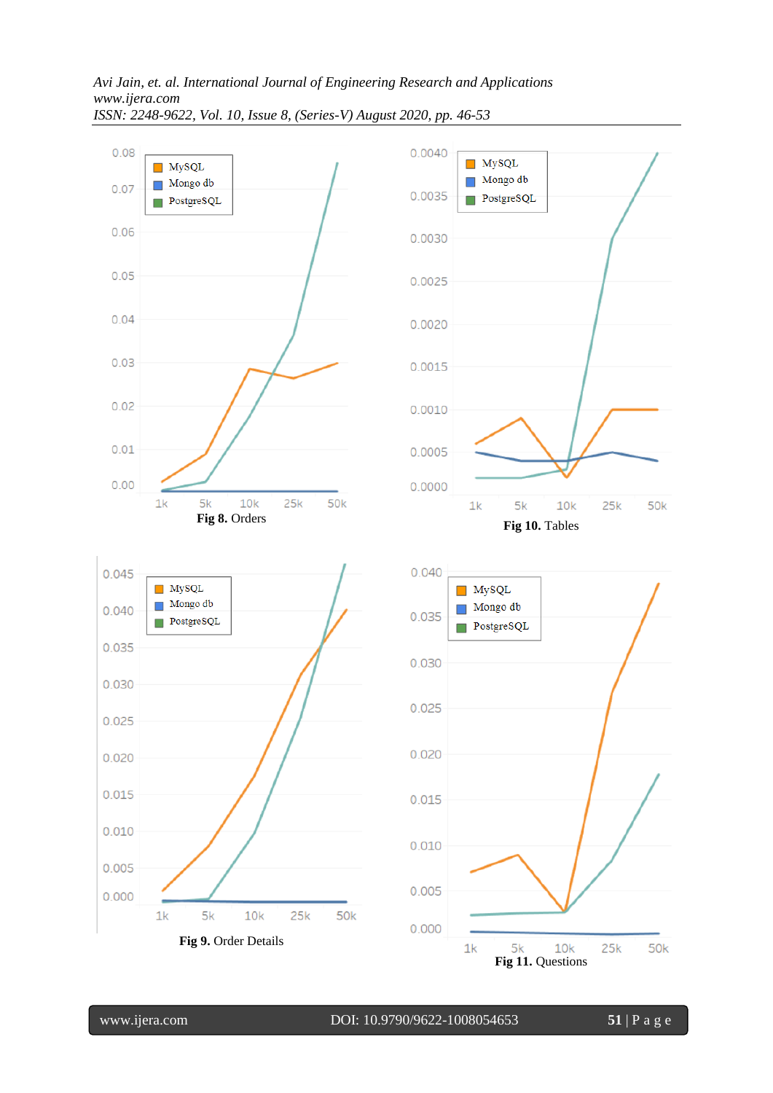





www.ijera.com DOI: 10.9790/9622-1008054653 **51** | P a g e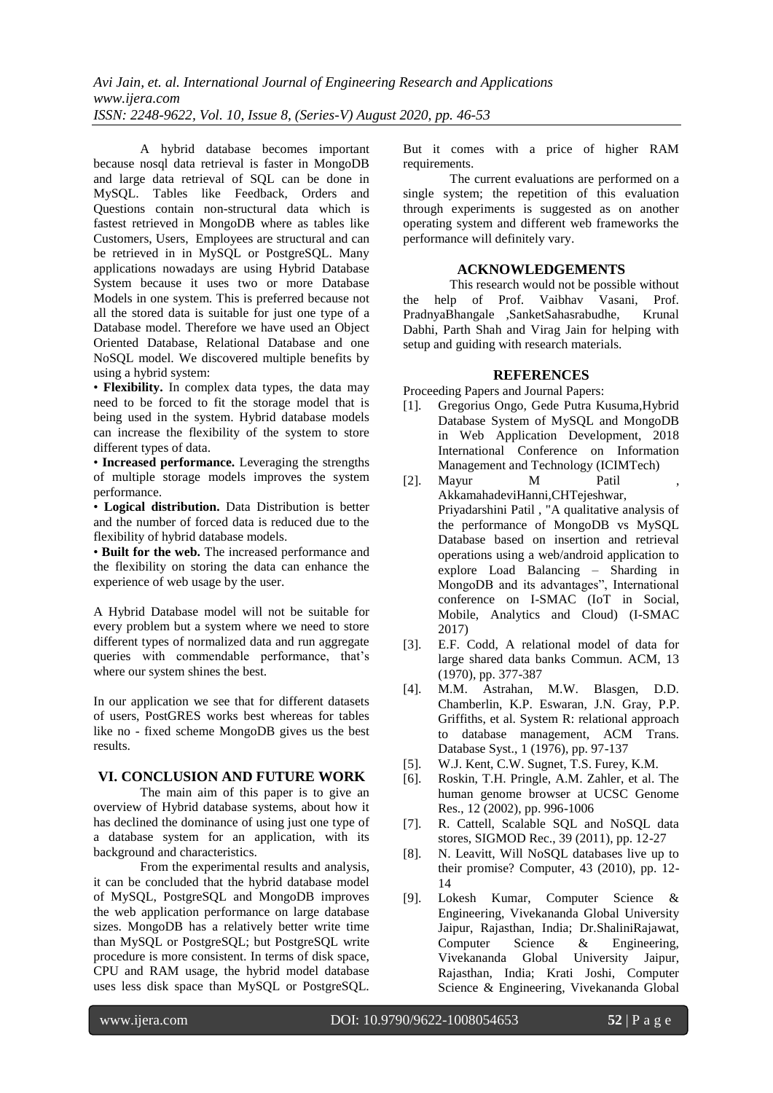A hybrid database becomes important because nosql data retrieval is faster in MongoDB and large data retrieval of SQL can be done in MySQL. Tables like Feedback, Orders and Questions contain non-structural data which is fastest retrieved in MongoDB where as tables like Customers, Users, Employees are structural and can be retrieved in in MySQL or PostgreSQL. Many applications nowadays are using Hybrid Database System because it uses two or more Database Models in one system. This is preferred because not all the stored data is suitable for just one type of a Database model. Therefore we have used an Object Oriented Database, Relational Database and one NoSQL model. We discovered multiple benefits by using a hybrid system:

• **Flexibility.** In complex data types, the data may need to be forced to fit the storage model that is being used in the system. Hybrid database models can increase the flexibility of the system to store different types of data.

• **Increased performance.** Leveraging the strengths of multiple storage models improves the system performance.

• **Logical distribution.** Data Distribution is better and the number of forced data is reduced due to the flexibility of hybrid database models.

• **Built for the web.** The increased performance and the flexibility on storing the data can enhance the experience of web usage by the user.

A Hybrid Database model will not be suitable for every problem but a system where we need to store different types of normalized data and run aggregate queries with commendable performance, that's where our system shines the best.

In our application we see that for different datasets of users, PostGRES works best whereas for tables like no - fixed scheme MongoDB gives us the best results.

#### **VI. CONCLUSION AND FUTURE WORK**

The main aim of this paper is to give an overview of Hybrid database systems, about how it has declined the dominance of using just one type of a database system for an application, with its background and characteristics.

From the experimental results and analysis, it can be concluded that the hybrid database model of MySQL, PostgreSQL and MongoDB improves the web application performance on large database sizes. MongoDB has a relatively better write time than MySQL or PostgreSQL; but PostgreSQL write procedure is more consistent. In terms of disk space, CPU and RAM usage, the hybrid model database uses less disk space than MySQL or PostgreSQL.

But it comes with a price of higher RAM requirements.

The current evaluations are performed on a single system; the repetition of this evaluation through experiments is suggested as on another operating system and different web frameworks the performance will definitely vary.

### **ACKNOWLEDGEMENTS**

This research would not be possible without the help of Prof. Vaibhav Vasani, Prof. PradnyaBhangale ,SanketSahasrabudhe, Krunal Dabhi, Parth Shah and Virag Jain for helping with setup and guiding with research materials.

## **REFERENCES**

Proceeding Papers and Journal Papers:

- [1]. Gregorius Ongo, Gede Putra Kusuma,Hybrid Database System of MySQL and MongoDB in Web Application Development, 2018 International Conference on Information Management and Technology (ICIMTech)
- [2]. Mayur M Patil AkkamahadeviHanni,CHTejeshwar, Priyadarshini Patil , "A qualitative analysis of the performance of MongoDB vs MySQL Database based on insertion and retrieval operations using a web/android application to explore Load Balancing – Sharding in MongoDB and its advantages", International conference on I-SMAC (IoT in Social, Mobile, Analytics and Cloud) (I-SMAC 2017)
- [3]. E.F. Codd, A relational model of data for large shared data banks Commun. ACM, 13 (1970), pp. 377-387
- [4]. M.M. Astrahan, M.W. Blasgen, D.D. Chamberlin, K.P. Eswaran, J.N. Gray, P.P. Griffiths, et al. System R: relational approach to database management, ACM Trans. Database Syst., 1 (1976), pp. 97-137
- [5]. W.J. Kent, C.W. Sugnet, T.S. Furey, K.M.
- [6]. Roskin, T.H. Pringle, A.M. Zahler, et al. The human genome browser at UCSC Genome Res., 12 (2002), pp. 996-1006
- [7]. R. Cattell, Scalable SQL and NoSQL data stores, SIGMOD Rec., 39 (2011), pp. 12-27
- [8]. N. Leavitt, Will NoSQL databases live up to their promise? Computer, 43 (2010), pp. 12- 14
- [9]. Lokesh Kumar, Computer Science & Engineering, Vivekananda Global University Jaipur, Rajasthan, India; Dr.ShaliniRajawat, Computer Science & Engineering, Vivekananda Global University Jaipur, Rajasthan, India; Krati Joshi, Computer Science & Engineering, Vivekananda Global